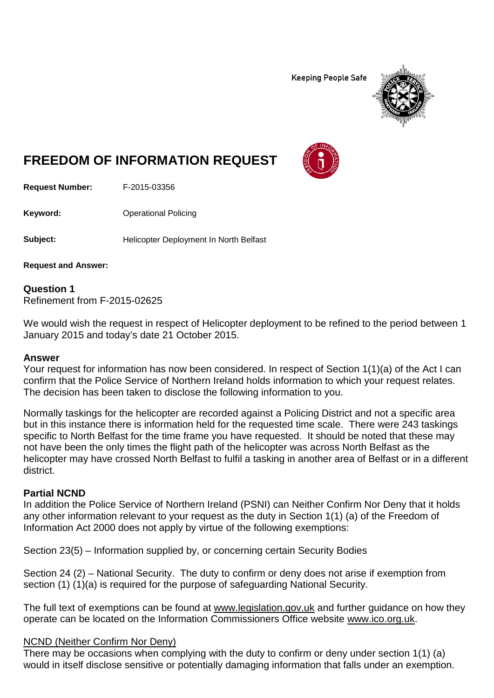**Keeping People Safe** 



# **FREEDOM OF INFORMATION REQUEST**

**Request Number:** F-2015-03356

**Keyword:** Operational Policing

**Subject:** Helicopter Deployment In North Belfast

**Request and Answer:**

**Question 1** Refinement from F-2015-02625

We would wish the request in respect of Helicopter deployment to be refined to the period between 1 January 2015 and today's date 21 October 2015.

#### **Answer**

Your request for information has now been considered. In respect of Section 1(1)(a) of the Act I can confirm that the Police Service of Northern Ireland holds information to which your request relates. The decision has been taken to disclose the following information to you.

Normally taskings for the helicopter are recorded against a Policing District and not a specific area but in this instance there is information held for the requested time scale. There were 243 taskings specific to North Belfast for the time frame you have requested. It should be noted that these may not have been the only times the flight path of the helicopter was across North Belfast as the helicopter may have crossed North Belfast to fulfil a tasking in another area of Belfast or in a different district.

#### **Partial NCND**

In addition the Police Service of Northern Ireland (PSNI) can Neither Confirm Nor Deny that it holds any other information relevant to your request as the duty in Section 1(1) (a) of the Freedom of Information Act 2000 does not apply by virtue of the following exemptions:

Section 23(5) – Information supplied by, or concerning certain Security Bodies

Section 24 (2) – National Security. The duty to confirm or deny does not arise if exemption from section (1) (1)(a) is required for the purpose of safeguarding National Security.

The full text of exemptions can be found at [www.legislation.gov.uk](http://www.legislation.gov.uk/) and further guidance on how they operate can be located on the Information Commissioners Office website [www.ico.org.uk.](http://www.ico.org.uk/)

#### NCND (Neither Confirm Nor Deny)

There may be occasions when complying with the duty to confirm or deny under section 1(1) (a) would in itself disclose sensitive or potentially damaging information that falls under an exemption.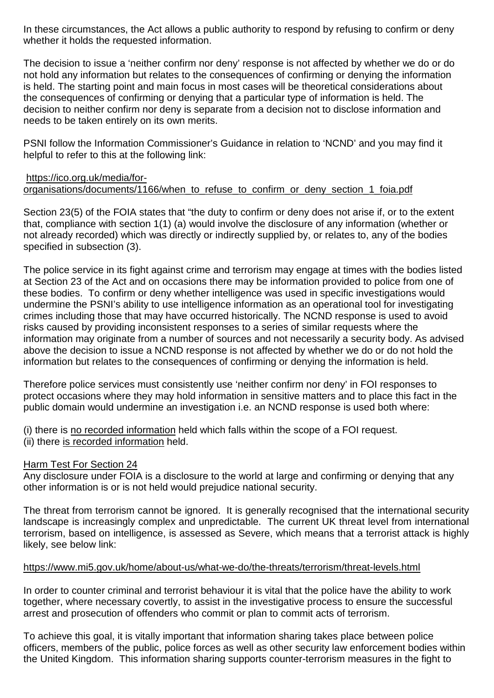In these circumstances, the Act allows a public authority to respond by refusing to confirm or deny whether it holds the requested information.

The decision to issue a 'neither confirm nor deny' response is not affected by whether we do or do not hold any information but relates to the consequences of confirming or denying the information is held. The starting point and main focus in most cases will be theoretical considerations about the consequences of confirming or denying that a particular type of information is held. The decision to neither confirm nor deny is separate from a decision not to disclose information and needs to be taken entirely on its own merits.

PSNI follow the Information Commissioner's Guidance in relation to 'NCND' and you may find it helpful to refer to this at the following link:

#### [https://ico.org.uk/media/for](https://ico.org.uk/media/for-organisations/documents/1166/when_to_refuse_to_confirm_or_deny_section_1_foia.pdf)organisations/documents/1166/when to refuse to confirm or deny section 1 foia.pdf

Section 23(5) of the FOIA states that "the duty to confirm or deny does not arise if, or to the extent that, compliance with section 1(1) (a) would involve the disclosure of any information (whether or not already recorded) which was directly or indirectly supplied by, or relates to, any of the bodies specified in subsection (3).

The police service in its fight against crime and terrorism may engage at times with the bodies listed at Section 23 of the Act and on occasions there may be information provided to police from one of these bodies. To confirm or deny whether intelligence was used in specific investigations would undermine the PSNI's ability to use intelligence information as an operational tool for investigating crimes including those that may have occurred historically. The NCND response is used to avoid risks caused by providing inconsistent responses to a series of similar requests where the information may originate from a number of sources and not necessarily a security body. As advised above the decision to issue a NCND response is not affected by whether we do or do not hold the information but relates to the consequences of confirming or denying the information is held.

Therefore police services must consistently use 'neither confirm nor deny' in FOI responses to protect occasions where they may hold information in sensitive matters and to place this fact in the public domain would undermine an investigation i.e. an NCND response is used both where:

(i) there is no recorded information held which falls within the scope of a FOI request. (ii) there is recorded information held.

#### Harm Test For Section 24

Any disclosure under FOIA is a disclosure to the world at large and confirming or denying that any other information is or is not held would prejudice national security.

The threat from terrorism cannot be ignored. It is generally recognised that the international security landscape is increasingly complex and unpredictable. The current UK threat level from international terrorism, based on intelligence, is assessed as Severe, which means that a terrorist attack is highly likely, see below link:

#### <https://www.mi5.gov.uk/home/about-us/what-we-do/the-threats/terrorism/threat-levels.html>

In order to counter criminal and terrorist behaviour it is vital that the police have the ability to work together, where necessary covertly, to assist in the investigative process to ensure the successful arrest and prosecution of offenders who commit or plan to commit acts of terrorism.

To achieve this goal, it is vitally important that information sharing takes place between police officers, members of the public, police forces as well as other security law enforcement bodies within the United Kingdom. This information sharing supports counter-terrorism measures in the fight to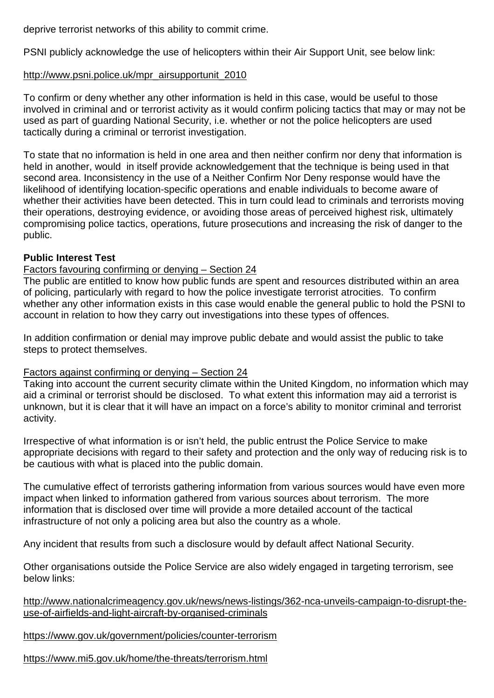deprive terrorist networks of this ability to commit crime.

PSNI publicly acknowledge the use of helicopters within their Air Support Unit, see below link:

### [http://www.psni.police.uk/mpr\\_airsupportunit\\_2010](http://www.psni.police.uk/mpr_airsupportunit_2010)

To confirm or deny whether any other information is held in this case, would be useful to those involved in criminal and or terrorist activity as it would confirm policing tactics that may or may not be used as part of guarding National Security, i.e. whether or not the police helicopters are used tactically during a criminal or terrorist investigation.

To state that no information is held in one area and then neither confirm nor deny that information is held in another, would in itself provide acknowledgement that the technique is being used in that second area. Inconsistency in the use of a Neither Confirm Nor Deny response would have the likelihood of identifying location-specific operations and enable individuals to become aware of whether their activities have been detected. This in turn could lead to criminals and terrorists moving their operations, destroying evidence, or avoiding those areas of perceived highest risk, ultimately compromising police tactics, operations, future prosecutions and increasing the risk of danger to the public.

# **Public Interest Test**

#### Factors favouring confirming or denying – Section 24

The public are entitled to know how public funds are spent and resources distributed within an area of policing, particularly with regard to how the police investigate terrorist atrocities. To confirm whether any other information exists in this case would enable the general public to hold the PSNI to account in relation to how they carry out investigations into these types of offences.

In addition confirmation or denial may improve public debate and would assist the public to take steps to protect themselves.

#### Factors against confirming or denying – Section 24

Taking into account the current security climate within the United Kingdom, no information which may aid a criminal or terrorist should be disclosed. To what extent this information may aid a terrorist is unknown, but it is clear that it will have an impact on a force's ability to monitor criminal and terrorist activity.

Irrespective of what information is or isn't held, the public entrust the Police Service to make appropriate decisions with regard to their safety and protection and the only way of reducing risk is to be cautious with what is placed into the public domain.

The cumulative effect of terrorists gathering information from various sources would have even more impact when linked to information gathered from various sources about terrorism. The more information that is disclosed over time will provide a more detailed account of the tactical infrastructure of not only a policing area but also the country as a whole.

Any incident that results from such a disclosure would by default affect National Security.

Other organisations outside the Police Service are also widely engaged in targeting terrorism, see below links:

[http://www.nationalcrimeagency.gov.uk/news/news-listings/362-nca-unveils-campaign-to-disrupt-the](http://www.nationalcrimeagency.gov.uk/news/news-listings/362-nca-unveils-campaign-to-disrupt-the-use-of-airfields-and-light-aircraft-by-organised-criminals)[use-of-airfields-and-light-aircraft-by-organised-criminals](http://www.nationalcrimeagency.gov.uk/news/news-listings/362-nca-unveils-campaign-to-disrupt-the-use-of-airfields-and-light-aircraft-by-organised-criminals)

<https://www.gov.uk/government/policies/counter-terrorism>

<https://www.mi5.gov.uk/home/the-threats/terrorism.html>